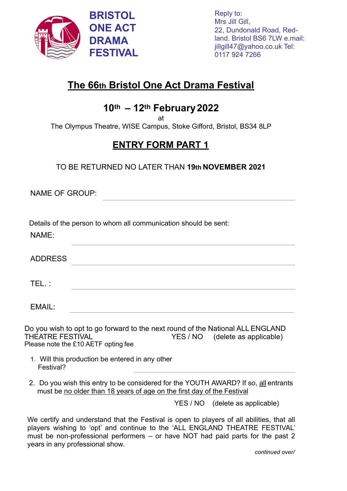

## **The 66th Bristol One Act Drama Festival**

## **10th – 12th February2022**

at

The Olympus Theatre, WISE Campus, Stoke Gifford, Bristol, BS34 8LP

## **ENTRY FORM PART 1**

TO BE RETURNED NO LATER THAN **19th NOVEMBER 2021** 

NAME OF GROUP:

NAME:

Details of the person to whom all communication should be sent:

| . <u>.</u> .   |  |  |  |
|----------------|--|--|--|
| <b>ADDRESS</b> |  |  |  |
|                |  |  |  |
| .              |  |  |  |

EMAIL:

Do you wish to opt to go forward to the next round of the National ALL ENGLAND THEATRE FESTIVAL YES / NO (delete as applicable) Please note the £10 AETF opting fee

- 1. Will this production be entered in any other Festival?
- 2. Do you wish this entry to be considered for the YOUTH AWARD? If so, all entrants must be no older than 18 years of age on the first day of the Festival

YES / NO (delete as applicable)

We certify and understand that the Festival is open to players of all abilities, that all players wishing to 'opt' and continue to the 'ALL ENGLAND THEATRE FESTIVAL' must be non-professional performers – or have NOT had paid parts for the past 2 years in any professional show.

*continued over/*